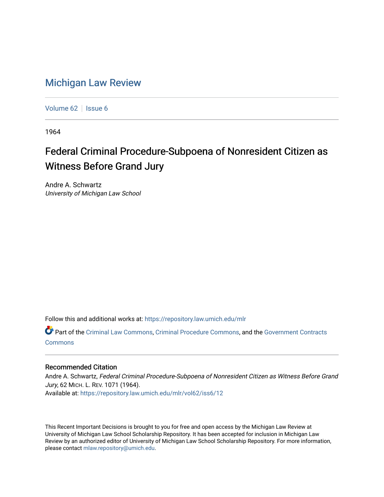## [Michigan Law Review](https://repository.law.umich.edu/mlr)

[Volume 62](https://repository.law.umich.edu/mlr/vol62) | [Issue 6](https://repository.law.umich.edu/mlr/vol62/iss6)

1964

## Federal Criminal Procedure-Subpoena of Nonresident Citizen as Witness Before Grand Jury

Andre A. Schwartz University of Michigan Law School

Follow this and additional works at: [https://repository.law.umich.edu/mlr](https://repository.law.umich.edu/mlr?utm_source=repository.law.umich.edu%2Fmlr%2Fvol62%2Fiss6%2F12&utm_medium=PDF&utm_campaign=PDFCoverPages) 

Part of the [Criminal Law Commons,](http://network.bepress.com/hgg/discipline/912?utm_source=repository.law.umich.edu%2Fmlr%2Fvol62%2Fiss6%2F12&utm_medium=PDF&utm_campaign=PDFCoverPages) [Criminal Procedure Commons,](http://network.bepress.com/hgg/discipline/1073?utm_source=repository.law.umich.edu%2Fmlr%2Fvol62%2Fiss6%2F12&utm_medium=PDF&utm_campaign=PDFCoverPages) and the [Government Contracts](http://network.bepress.com/hgg/discipline/845?utm_source=repository.law.umich.edu%2Fmlr%2Fvol62%2Fiss6%2F12&utm_medium=PDF&utm_campaign=PDFCoverPages)  [Commons](http://network.bepress.com/hgg/discipline/845?utm_source=repository.law.umich.edu%2Fmlr%2Fvol62%2Fiss6%2F12&utm_medium=PDF&utm_campaign=PDFCoverPages)

## Recommended Citation

Andre A. Schwartz, Federal Criminal Procedure-Subpoena of Nonresident Citizen as Witness Before Grand Jury, 62 MICH. L. REV. 1071 (1964). Available at: [https://repository.law.umich.edu/mlr/vol62/iss6/12](https://repository.law.umich.edu/mlr/vol62/iss6/12?utm_source=repository.law.umich.edu%2Fmlr%2Fvol62%2Fiss6%2F12&utm_medium=PDF&utm_campaign=PDFCoverPages) 

This Recent Important Decisions is brought to you for free and open access by the Michigan Law Review at University of Michigan Law School Scholarship Repository. It has been accepted for inclusion in Michigan Law Review by an authorized editor of University of Michigan Law School Scholarship Repository. For more information, please contact [mlaw.repository@umich.edu.](mailto:mlaw.repository@umich.edu)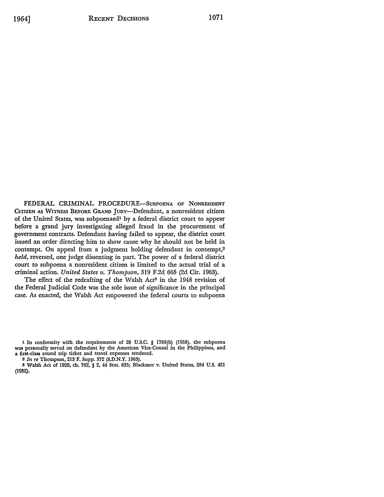FEDERAL CRIMINAL PROCEDURE-SUBPOENA OF NONRESIDENT CITIZEN AS WITNESS BEFORE GRAND JURY-Defendant, a nonresident citizen of the United States, was subpoenaed1 by a federal district court to appear before a grand jury investigating alleged fraud in the procurement of government contracts. Defendant having failed to appear, the district court issued an order directing him to show cause why he should not be held in contempt. On appeal from a judgment holding defendant in contempt,<sup>2</sup> *held,* reversed, one judge dissenting in part. The power of a federal district court to subpoena a nonresident citizen is limited to the actual trial of a criminal action. *United States v. Thompson,* 319 F.2d 665 (2d Cir. 1963).

The effect of the redrafting of the Walsh Act<sup>3</sup> in the 1948 revision of the Federal Judicial Code was the sole issue of significance in the principal case. As enacted, the Walsh Act empowered the federal courts to subpoena

<sup>1</sup> In conformity with the requirements of 28 U.S.C. § 1783(b) (1958), the subpoena was personally served on defendant by the American Vice-Consul in the Philippines, and a first-class round trip ticket and travel expenses tendered.

<sup>2</sup> *In re* Thompson, 213 F. Supp. 372 (S.D.N.Y. 1963).

<sup>3</sup> Walsh Act of 1926, ch. 762, § 2, 44 Stat. 835; Blackmer v. United States, 284 U.S. 421 **(1932).**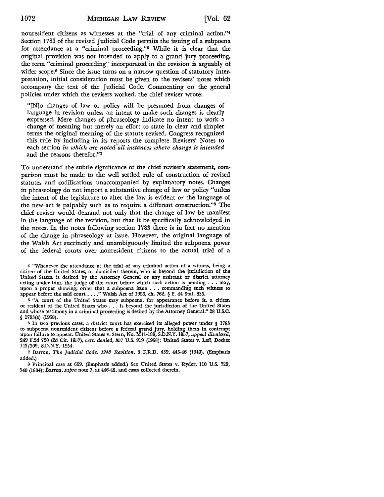nonresident citizens as witnesses at the "trial of any criminal action."<sup>4</sup> Section 1783 of the revised Judicial Code permits the issuing of a subpoena for attendance at a "criminal proceeding."5 While it is clear that the original provision was not intended to apply to a grand jury proceeding, the term "criminal proceeding" incorporated in the revision is arguably of wider scope.6 Since the issue turns on a narrow question of statutory interpretation, initial consideration must be given to the revisers' notes which accompany the text of the Judicial Code. Commenting on the general policies under which the revisers worked, the chief reviser wrote:

"[N]o changes of law or policy will be presumed from changes of language in revision unless an intent to make such changes is clearly expressed. Mere changes of phraseology indicate no intent to work a change of meaning but merely an effort to state in clear and simpler terms the original meaning of the statute revised. Congress recognized this rule by including in its reports the complete Revisers' Notes to each section *in which are noted all instances where change is intended*  and the reasons therefor."<sup>7</sup>

To understand the subtle significance of the chief reviser's statement, comparison must be made to the well settled rule of construction of revised statutes and codifications unaccompanied by explanatory notes. Changes in phraseology do not import a substantive change of law or policy "unless the intent of the legislature to alter the law is evident *or* the language of the new act is palpably such as to require a different construction."8 The chief reviser would demand not only that the change of law be manifest in the language of the revision, but that it be specifically acknowledged in the notes. In the notes following section 1783 there is in fact no mention of the change in phraseology at issue. However, the original language of the Walsh Act succinctly and unambiguously limited the subpoena power of the federal courts over nonresident citizens to the actual trial of a

<sup>4</sup>"Whenever the attendance at the trial of any criminal action of a witness, being a citizen of the United States, or domiciled therein, who is beyond the jurisdiction of the United States, is desired by the Attorney General or any assistant or district attorney acting under him, the judge of the court before which such action is pending  $\ldots$  may, upon a proper showing, order that a subpoena issue . . . commanding such witness to appear before the said court  $\ldots$ ." Walsh Act of 1926, ch. 762, § 2, 44 Stat. 835.

5 "A court of the United States may subpoena, for appearance before it, a citizen or resident of the United States who ... is beyond the jurisdiction of the United States and whose testimony in a criminal proceeding is desired by the Attorney General." 28 U.S.C. § 1783(a) (1958).

<sup>6</sup>In two previous cases, a district court has exercised its alleged power under § 1783 to subpoena nonresident citizens before a federal grand jury, holding them in contempt upon failure to appear. United States v. Stem, No. Mll-188, S.D.N.Y. 1957, *appeal dismissed,*  249 F.2d 720 (2d Cir. 1957), *cert. denied,* 357 U.S. 919 (1958); United States v. Leff, Docket 143/309, S.D.N.Y. 1954.

7 Barron, *The Judicial Code, 1918 Revision,* 8 F.R.D. 439, 445-46 (1949). (Emphasis added.)

a Principal case at 669. (Emphasis added.) See United States v. Ryder, 110 U.S. 729, 740 (1884); Barron, *supra* note 7, at 446-48, and cases collected therein.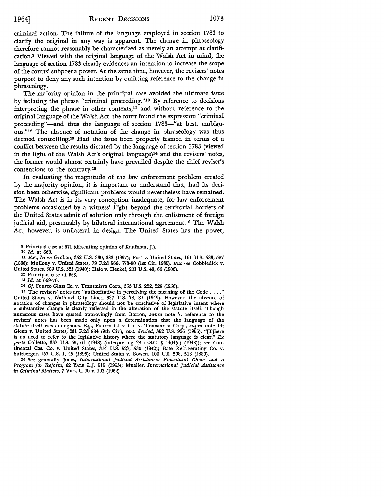criminal action. The failure of the language employed in section 1783 to clarify the original in any way is apparent. The change in phraseology therefore cannot reasonably be characterized as merely an attempt at clarification.9 Viewed with the original language of the Walsh Act in mind, the language of section 1783 clearly evidences an intention to increase the scope of the courts' subpoena power. At the same time, however, the revisers' notes purport to deny any such intention by omitting reference to the change in phraseology.

The majority opinion in the principal case avoided the ultimate issue by isolating the phrase "criminal proceeding."10 By reference to decisions interpreting the phrase in other contexts,11 and without reference to the original language of the Walsh Act, the court found the expression "criminal proceeding"-and thus the language of section 1783-"at best, ambiguous."12 The absence of notation of the change in phraseology was thus deemed controlling.13 Had the issue been properly framed in terms of a conflict between the results dictated by the language of section 1783 (viewed in the light of the Walsh Act's original language)<sup>14</sup> and the revisers' notes, the former would almost certainly have prevailed despite the chief reviser's contentions to the contrary.15

In evaluating the magnitude of the law enforcement problem created by the majority, opinion, it is important to understand that, had its decision been otherwise, significant problems would nevertheless have remained. The Walsh Act is in its very conception inadequate, for law enforcement problems occasioned by a witness' flight beyond the territorial borders of the United States admit of solution only through the enlistment of foreign judicial aid, presumably by bilateral international agreement.<sup>16</sup> The Walsh Act, however, is unilateral in design. The United States has the power,

<sup>11</sup>*E.g., In re* Groban, 352 U.S. 330, 333 (1957); Post v. United States, 161 U.S. 583, 587 (1896); Mullony v. United States, 79 F.2d 566, 578-80 (1st Cir. 1935). *But see* Cobbledick v. United States, 309 U.S. 323 (1940); Hale v. Henkel, 201 U.S. 43, 66 (1906).

12 Principal case at 668.

13 *Id.* at 669-70.

115 The revisers' notes are "authoritative in perceiving the meaning of the Code .... " United States v. National City Lines, 337 U.S. 78, 81 (1949). However, the absence of notation of changes in phraseology should not be conclusive of legislative intent where a substantive change is clearly reflected in the alteration of the statute itself. Though numerous cases have quoted approvingly from Barron, *supra* note 7, reference to the revisers' notes has been made only upon a determination that the language of the statute itself was ambiguous. *E.g.,* Fourco Glass Co. v. Transmirra Corp., *supra* note 14; Glenn v. United States, 231 F.2d 884 (9th Cir.), *cert. denied,* 352 U.S. 926 (1956). "[T]here is no need to refer to the legislative history where the statutory language is clear." *Ex parte* Collette, 337 U.S. 55, 61 (1948) (interpreting 28 U.S.C. § 1404(a) (1948)); see Continental Cas. Co. v. United States, 314 U.S. 527, 530 (1942); Bate Refrigerating Co. v. Sulzberger, 157 U.S. I, 45 (1895); United States v. Bowen, 100 U.S. 508, 513 (1880).

16 See generally Jones, *International Judicial Assistance: Procedural Chaos and a Program for Reform,* 62 YALE L.J. 515 (1953); Mueller, *International Judicial Assistance in Criminal Matters,* 7 VILL. L. REv. 193 (1962).

o Principal case at 671 (dissenting opinion of Kaufman, J.).

<sup>10</sup> *Id.* at 668.

<sup>14</sup> *Cf.* Fourco Glass Co. v. Transmirra Corp., 353 U.S. 222, 228 (1956).